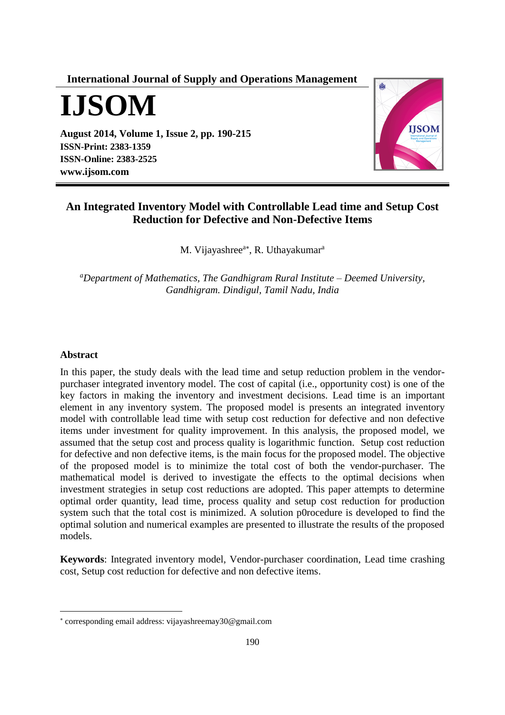**International Journal of Supply and Operations Management**

**IJSOM**

**August 2014, Volume 1, Issue 2, pp. 190-215 ISSN-Print: 2383-1359 ISSN-Online: 2383-2525 [www.ijsom.com](http://www.ijsom.com/)**



# **An Integrated Inventory Model with Controllable Lead time and Setup Cost Reduction for Defective and Non-Defective Items**

M. Vijayashree<sup>a\*</sup>, R. Uthayakumar<sup>a</sup>

*<sup>a</sup>Department of Mathematics, The Gandhigram Rural Institute – Deemed University, Gandhigram. Dindigul, Tamil Nadu, India*

#### **Abstract**

 $\overline{a}$ 

In this paper, the study deals with the lead time and setup reduction problem in the vendorpurchaser integrated inventory model. The cost of capital (i.e., opportunity cost) is one of the key factors in making the inventory and investment decisions. Lead time is an important element in any inventory system. The proposed model is presents an integrated inventory model with controllable lead time with setup cost reduction for defective and non defective items under investment for quality improvement. In this analysis, the proposed model, we assumed that the setup cost and process quality is logarithmic function. Setup cost reduction for defective and non defective items, is the main focus for the proposed model. The objective of the proposed model is to minimize the total cost of both the vendor-purchaser. The mathematical model is derived to investigate the effects to the optimal decisions when investment strategies in setup cost reductions are adopted. This paper attempts to determine optimal order quantity, lead time, process quality and setup cost reduction for production system such that the total cost is minimized. A solution p0rocedure is developed to find the optimal solution and numerical examples are presented to illustrate the results of the proposed models.

**Keywords**: Integrated inventory model, Vendor-purchaser coordination, Lead time crashing cost, Setup cost reduction for defective and non defective items.

corresponding email address: vijayashreemay30@gmail.com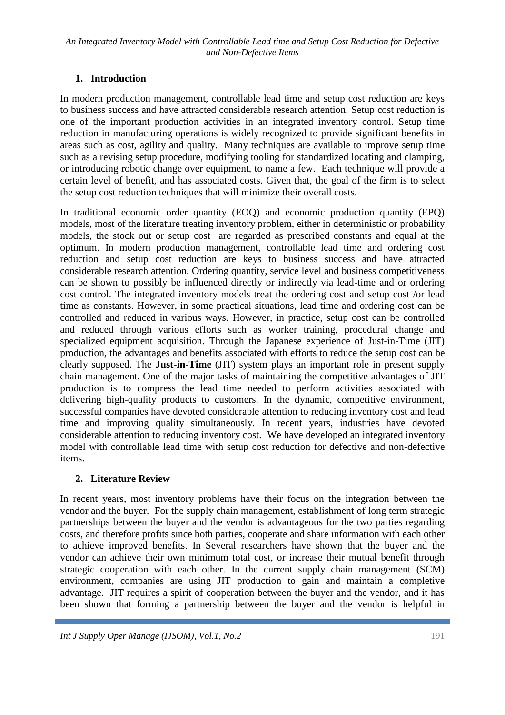# **1. Introduction**

In modern production management, controllable lead time and setup cost reduction are keys to business success and have attracted considerable research attention. Setup cost reduction is one of the important production activities in an integrated inventory control. Setup time reduction in manufacturing operations is widely recognized to provide significant benefits in areas such as cost, agility and quality. Many techniques are available to improve setup time such as a revising setup procedure, modifying tooling for standardized locating and clamping, or introducing robotic change over equipment, to name a few. Each technique will provide a certain level of benefit, and has associated costs. Given that, the goal of the firm is to select the setup cost reduction techniques that will minimize their overall costs.

In traditional economic order quantity (EOQ) and economic production quantity (EPQ) models, most of the literature treating inventory problem, either in deterministic or probability models, the stock out or setup cost are regarded as prescribed constants and equal at the optimum. In modern production management, controllable lead time and ordering cost reduction and setup cost reduction are keys to business success and have attracted considerable research attention. Ordering quantity, service level and business competitiveness can be shown to possibly be influenced directly or indirectly via lead-time and or ordering cost control. The integrated inventory models treat the ordering cost and setup cost /or lead time as constants. However, in some practical situations, lead time and ordering cost can be controlled and reduced in various ways. However, in practice, setup cost can be controlled and reduced through various efforts such as worker training, procedural change and specialized equipment acquisition. Through the Japanese experience of Just-in-Time (JIT) production, the advantages and benefits associated with efforts to reduce the setup cost can be clearly supposed. The **Just-in-Time** (JIT) system plays an important role in present supply chain management. One of the major tasks of maintaining the competitive advantages of JIT production is to compress the lead time needed to perform activities associated with delivering high-quality products to customers. In the dynamic, competitive environment, successful companies have devoted considerable attention to reducing inventory cost and lead time and improving quality simultaneously. In recent years, industries have devoted considerable attention to reducing inventory cost. We have developed an integrated inventory model with controllable lead time with setup cost reduction for defective and non-defective items.

# **2. Literature Review**

In recent years, most inventory problems have their focus on the integration between the vendor and the buyer. For the supply chain management, establishment of long term strategic partnerships between the buyer and the vendor is advantageous for the two parties regarding costs, and therefore profits since both parties, cooperate and share information with each other to achieve improved benefits. In Several researchers have shown that the buyer and the vendor can achieve their own minimum total cost, or increase their mutual benefit through strategic cooperation with each other. In the current supply chain management (SCM) environment, companies are using JIT production to gain and maintain a completive advantage. JIT requires a spirit of cooperation between the buyer and the vendor, and it has been shown that forming a partnership between the buyer and the vendor is helpful in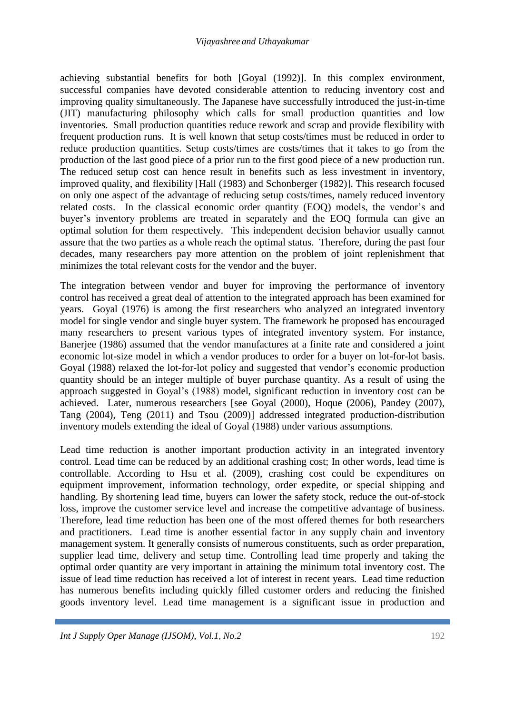achieving substantial benefits for both [Goyal (1992)]. In this complex environment, successful companies have devoted considerable attention to reducing inventory cost and improving quality simultaneously. The Japanese have successfully introduced the just-in-time (JIT) manufacturing philosophy which calls for small production quantities and low inventories. Small production quantities reduce rework and scrap and provide flexibility with frequent production runs. It is well known that setup costs/times must be reduced in order to reduce production quantities. Setup costs/times are costs/times that it takes to go from the production of the last good piece of a prior run to the first good piece of a new production run. The reduced setup cost can hence result in benefits such as less investment in inventory, improved quality, and flexibility [Hall (1983) and Schonberger (1982)]. This research focused on only one aspect of the advantage of reducing setup costs/times, namely reduced inventory related costs. In the classical economic order quantity (EOQ) models, the vendor's and buyer's inventory problems are treated in separately and the EOQ formula can give an optimal solution for them respectively. This independent decision behavior usually cannot assure that the two parties as a whole reach the optimal status. Therefore, during the past four decades, many researchers pay more attention on the problem of joint replenishment that minimizes the total relevant costs for the vendor and the buyer.

The integration between vendor and buyer for improving the performance of inventory control has received a great deal of attention to the integrated approach has been examined for years. Goyal (1976) is among the first researchers who analyzed an integrated inventory model for single vendor and single buyer system. The framework he proposed has encouraged many researchers to present various types of integrated inventory system. For instance, Banerjee (1986) assumed that the vendor manufactures at a finite rate and considered a joint economic lot-size model in which a vendor produces to order for a buyer on lot-for-lot basis. Goyal (1988) relaxed the lot-for-lot policy and suggested that vendor's economic production quantity should be an integer multiple of buyer purchase quantity. As a result of using the approach suggested in Goyal's (1988) model, significant reduction in inventory cost can be achieved. Later, numerous researchers [see Goyal (2000), Hoque (2006), Pandey (2007), Tang (2004), Teng (2011) and Tsou (2009)] addressed integrated production-distribution inventory models extending the ideal of Goyal (1988) under various assumptions.

Lead time reduction is another important production activity in an integrated inventory control. Lead time can be reduced by an additional crashing cost; In other words, lead time is controllable. According to Hsu et al. (2009), crashing cost could be expenditures on equipment improvement, information technology, order expedite, or special shipping and handling. By shortening lead time, buyers can lower the safety stock, reduce the out-of-stock loss, improve the customer service level and increase the competitive advantage of business. Therefore, lead time reduction has been one of the most offered themes for both researchers and practitioners. Lead time is another essential factor in any supply chain and inventory management system. It generally consists of numerous constituents, such as order preparation, supplier lead time, delivery and setup time. Controlling lead time properly and taking the optimal order quantity are very important in attaining the minimum total inventory cost. The issue of lead time reduction has received a lot of interest in recent years. Lead time reduction has numerous benefits including quickly filled customer orders and reducing the finished goods inventory level. Lead time management is a significant issue in production and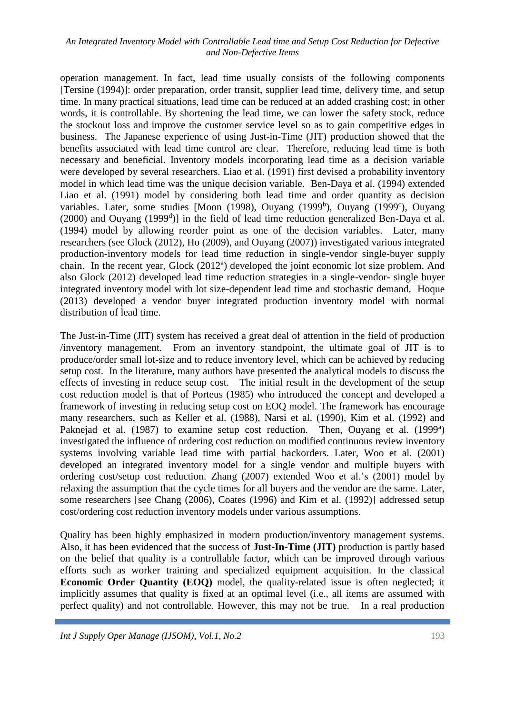operation management. In fact, lead time usually consists of the following components [Tersine (1994)]: order preparation, order transit, supplier lead time, delivery time, and setup time. In many practical situations, lead time can be reduced at an added crashing cost; in other words, it is controllable. By shortening the lead time, we can lower the safety stock, reduce the stockout loss and improve the customer service level so as to gain competitive edges in business. The Japanese experience of using Just-in-Time (JIT) production showed that the benefits associated with lead time control are clear. Therefore, reducing lead time is both necessary and beneficial. Inventory models incorporating lead time as a decision variable were developed by several researchers. Liao et al. (1991) first devised a probability inventory model in which lead time was the unique decision variable. Ben-Daya et al. (1994) extended Liao et al. (1991) model by considering both lead time and order quantity as decision variables. Later, some studies [Moon (1998), Ouyang (1999<sup>b</sup>), Ouyang (1999<sup>c</sup>), Ouyang  $(2000)$  and Ouyang  $(1999<sup>d</sup>)$ ] in the field of lead time reduction generalized Ben-Daya et al. (1994) model by allowing reorder point as one of the decision variables. Later, many researchers (see Glock (2012), Ho (2009), and Ouyang (2007)) investigated various integrated production-inventory models for lead time reduction in single-vendor single-buyer supply chain. In the recent year, Glock (2012<sup>a</sup>) developed the joint economic lot size problem. And also Glock (2012) developed lead time reduction strategies in a single-vendor- single buyer integrated inventory model with lot size-dependent lead time and stochastic demand. Hoque (2013) developed a vendor buyer integrated production inventory model with normal distribution of lead time.

The Just-in-Time (JIT) system has received a great deal of attention in the field of production /inventory management. From an inventory standpoint, the ultimate goal of JIT is to produce/order small lot-size and to reduce inventory level, which can be achieved by reducing setup cost. In the literature, many authors have presented the analytical models to discuss the effects of investing in reduce setup cost. The initial result in the development of the setup cost reduction model is that of Porteus (1985) who introduced the concept and developed a framework of investing in reducing setup cost on EOQ model. The framework has encourage many researchers, such as Keller et al. (1988), Narsi et al. (1990), Kim et al. (1992) and Paknejad et al. (1987) to examine setup cost reduction. Then, Ouyang et al. (1999<sup>a</sup>) investigated the influence of ordering cost reduction on modified continuous review inventory systems involving variable lead time with partial backorders. Later, Woo et al. (2001) developed an integrated inventory model for a single vendor and multiple buyers with ordering cost/setup cost reduction. Zhang (2007) extended Woo et al.'s (2001) model by relaxing the assumption that the cycle times for all buyers and the vendor are the same. Later, some researchers [see Chang (2006), Coates (1996) and Kim et al. (1992)] addressed setup cost/ordering cost reduction inventory models under various assumptions.

Quality has been highly emphasized in modern production/inventory management systems. Also, it has been evidenced that the success of **Just-In-Time (JIT)** production is partly based on the belief that quality is a controllable factor, which can be improved through various efforts such as worker training and specialized equipment acquisition. In the classical **Economic Order Quantity (EOQ)** model, the quality-related issue is often neglected; it implicitly assumes that quality is fixed at an optimal level (i.e., all items are assumed with perfect quality) and not controllable. However, this may not be true. In a real production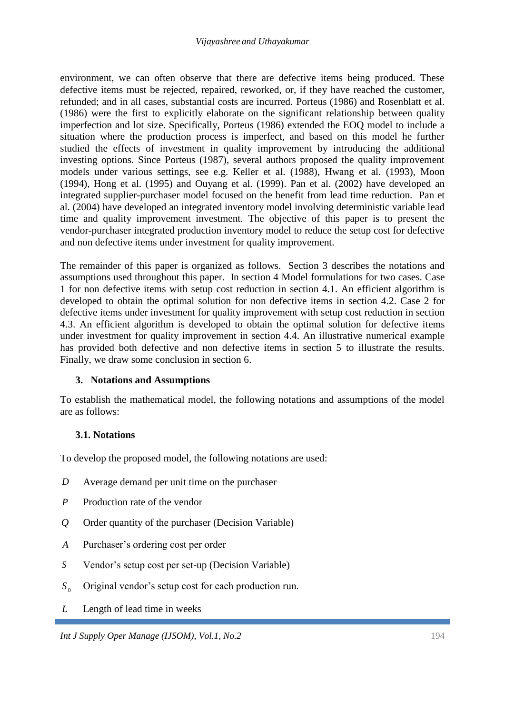environment, we can often observe that there are defective items being produced. These defective items must be rejected, repaired, reworked, or, if they have reached the customer. refunded; and in all cases, substantial costs are incurred. Porteus (1986) and Rosenblatt et al. (1986) were the first to explicitly elaborate on the significant relationship between quality imperfection and lot size. Specifically, Porteus (1986) extended the EOQ model to include a situation where the production process is imperfect, and based on this model he further studied the effects of investment in quality improvement by introducing the additional investing options. Since Porteus (1987), several authors proposed the quality improvement models under various settings, see e.g. Keller et al. (1988), Hwang et al. (1993), Moon (1994), Hong et al. (1995) and Ouyang et al. (1999). Pan et al. (2002) have developed an integrated supplier-purchaser model focused on the benefit from lead time reduction. Pan et al. (2004) have developed an integrated inventory model involving deterministic variable lead time and quality improvement investment. The objective of this paper is to present the vendor-purchaser integrated production inventory model to reduce the setup cost for defective and non defective items under investment for quality improvement.

The remainder of this paper is organized as follows. Section 3 describes the notations and assumptions used throughout this paper. In section 4 Model formulations for two cases. Case 1 for non defective items with setup cost reduction in section 4.1. An efficient algorithm is developed to obtain the optimal solution for non defective items in section 4.2. Case 2 for defective items under investment for quality improvement with setup cost reduction in section 4.3. An efficient algorithm is developed to obtain the optimal solution for defective items under investment for quality improvement in section 4.4. An illustrative numerical example has provided both defective and non defective items in section 5 to illustrate the results. Finally, we draw some conclusion in section 6.

# **3. Notations and Assumptions**

To establish the mathematical model, the following notations and assumptions of the model are as follows:

### **3.1. Notations**

To develop the proposed model, the following notations are used:

- *D* Average demand per unit time on the purchaser
- *P* Production rate of the vendor
- *Q* Order quantity of the purchaser (Decision Variable)
- *A* Purchaser's ordering cost per order
- *S* Vendor's setup cost per set-up (Decision Variable)
- $S_0$ Original vendor's setup cost for each production run.
- *L* Length of lead time in weeks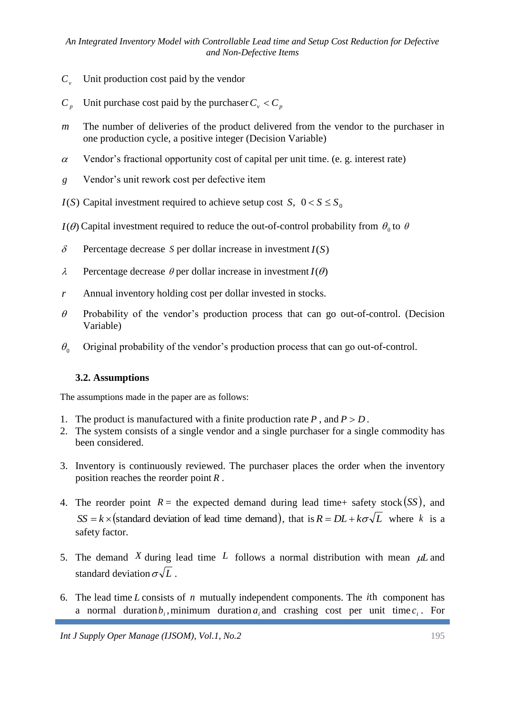- $C_v$ Unit production cost paid by the vendor
- $C_{p}$ Unit purchase cost paid by the purchaser  $C_v < C_p$
- *m* The number of deliveries of the product delivered from the vendor to the purchaser in one production cycle, a positive integer (Decision Variable)
- $\alpha$ Vendor's fractional opportunity cost of capital per unit time. (e. g. interest rate)
- *g* Vendor's unit rework cost per defective item
- *I*(*S*) Capital investment required to achieve setup cost *S*,  $0 < S \le S_0$
- *I*( $\theta$ ) Capital investment required to reduce the out-of-control probability from  $\theta_0$  to  $\theta$
- $\delta$ Percentage decrease *S* per dollar increase in investment *I*(*S*)
- $\lambda$ Percentage decrease  $\theta$  per dollar increase in investment  $I(\theta)$
- *r* Annual inventory holding cost per dollar invested in stocks.
- $\theta$ Probability of the vendor's production process that can go out-of-control. (Decision Variable)
- $\theta_{0}$ Original probability of the vendor's production process that can go out-of-control.

### **3.2. Assumptions**

The assumptions made in the paper are as follows:

- 1. The product is manufactured with a finite production rate  $P$ , and  $P > D$ .
- 2. The system consists of a single vendor and a single purchaser for a single commodity has been considered.
- 3. Inventory is continuously reviewed. The purchaser places the order when the inventory position reaches the reorder point *R* .
- 4. The reorder point  $R =$  the expected demand during lead time+ safety stock  $(SS)$ , and  $SS = k \times (standard deviation of lead time demand), that is  $R = DL + k\sigma\sqrt{L}$  where k is a$ safety factor.
- 5. The demand X during lead time L follows a normal distribution with mean  $\mu$ L and standard deviation  $\sigma \sqrt{L}$ .
- 6. The lead time  $L$  consists of  $n$  mutually independent components. The *i*th component has a normal duration  $b_i$ , minimum duration  $a_i$  and crashing cost per unit time  $c_i$ . For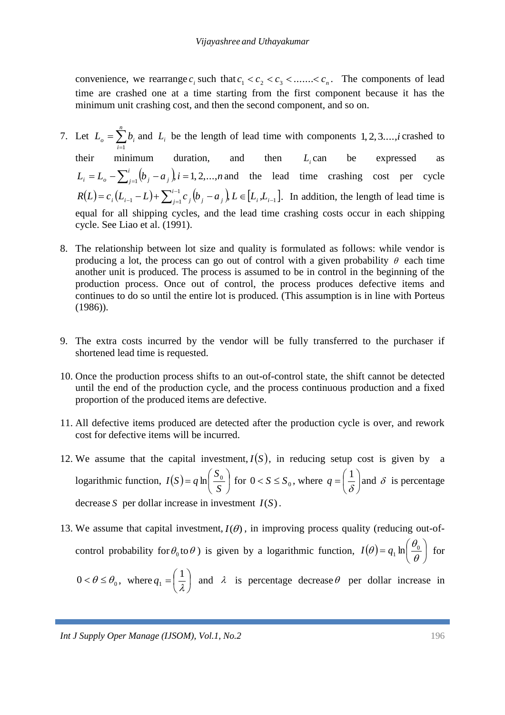convenience, we rearrange  $c_i$  such that  $c_1 < c_2 < c_3 < \dots < c_n$ . The components of lead time are crashed one at a time starting from the first component because it has the minimum unit crashing cost, and then the second component, and so on.

- 7. Let  $L_o = \sum_{i=1}^{n}$ *i*  $L_o = \sum b_i$ 1 and  $L_i$  be the length of lead time with components  $1, 2, 3, \ldots, i$  crashed to their minimum duration, and then  $L_i$  can be expressed as  $L_i = L_o - \sum_{i=1}^i (b_i - a_i) i = 1, 2, ..., n$  $f_i = L_o - \sum_{j=1}^{i} (b_j - a_j) i = 1, 2, ..., n$  and the lead time crashing cost per cycle  $(L) = c_i (L_{i-1} - L) + \sum_{i=1}^{i-1} c_j (b_j - a_j) L \in [L_i, L_{i-1}]$  $\{a_i - L\} + \sum_{j=1}^{l-1} c_j (b_j - a_j)$ ,  $L \in [L_i, L_{i-1}]$ - $\hat{c}_i = c_i (L_{i-1} - L) + \sum_{j=1}^{i-1} c_j (b_j - a_j), L \in [L_i, L_i]$  $R(L) = c_i (L_{i-1} - L) + \sum_{j=1}^{i-1} c_j (b_j - a_j) L \in [L_i, L_{i-1}]$ . In addition, the length of lead time is equal for all shipping cycles, and the lead time crashing costs occur in each shipping cycle. See Liao et al. (1991).
- 8. The relationship between lot size and quality is formulated as follows: while vendor is producing a lot, the process can go out of control with a given probability  $\theta$  each time another unit is produced. The process is assumed to be in control in the beginning of the production process. Once out of control, the process produces defective items and continues to do so until the entire lot is produced. (This assumption is in line with Porteus (1986)).
- 9. The extra costs incurred by the vendor will be fully transferred to the purchaser if shortened lead time is requested.
- 10. Once the production process shifts to an out-of-control state, the shift cannot be detected until the end of the production cycle, and the process continuous production and a fixed proportion of the produced items are defective.
- 11. All defective items produced are detected after the production cycle is over, and rework cost for defective items will be incurred.
- 12. We assume that the capital investment,  $I(S)$ , in reducing setup cost is given by a logarithmic function,  $I(S) = q \ln \frac{S_0}{S}$ J  $\left(\frac{S_0}{\sigma}\right)$  $\setminus$  $= q \ln \left( \frac{1}{2} \right)$ *S S*  $I(S) = q \ln \left| \frac{S_0}{S} \right|$  for  $0 < S \le S_0$ , where  $q = \left| \frac{1}{S} \right|$ J  $\left(\frac{1}{a}\right)$  $\setminus$  $=\left(\frac{1}{\delta}\right)$  $q = \left(\frac{1}{q}\right)$  and  $\delta$  is percentage decrease *S* per dollar increase in investment *I*(*S*).
- 13. We assume that capital investment,  $I(\theta)$ , in improving process quality (reducing out-ofcontrol probability for  $\theta_0$  to  $\theta$ ) is given by a logarithmic function,  $I(\theta) = q_1 \ln \left| \frac{\theta_0}{\theta} \right|$  $\bigg)$  $\left(\frac{\theta_0}{\theta_0}\right)$  $\setminus$  $=q_1 \ln \left(\frac{\theta_0}{\theta}\right)$  $I(\theta) = q_1 \ln \left( \frac{\theta_0}{\theta} \right)$  for  $0 < \theta \leq \theta_0$ , where  $q_1 = \left| \frac{1}{2} \right|$ J  $\left(\frac{1}{2}\right)$  $\setminus$  $=\left(\frac{1}{\lambda}\right)$  $q_1 = \left(\frac{1}{2}\right)$  and  $\lambda$  is percentage decrease  $\theta$  per dollar increase in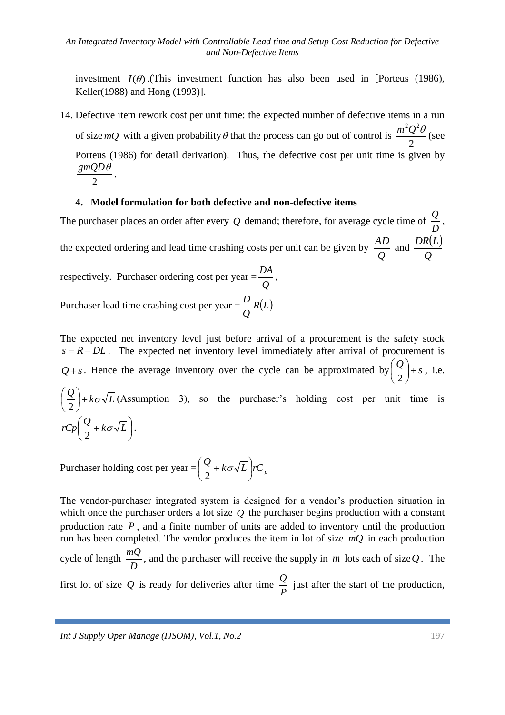investment  $I(\theta)$ .(This investment function has also been used in [Porteus (1986), Keller(1988) and Hong (1993)].

14. Defective item rework cost per unit time: the expected number of defective items in a run of size  $mQ$  with a given probability  $\theta$  that the process can go out of control is 2  $\frac{m^2 Q^2 \theta}{2}$  (see Porteus (1986) for detail derivation). Thus, the defective cost per unit time is given by 2  $\frac{gmQD\theta}{2}$ .

### **4. Model formulation for both defective and non-defective items**

The purchaser places an order after every *Q* demand; therefore, for average cycle time of *D*  $\frac{Q}{R}$ the expected ordering and lead time crashing costs per unit can be given by *Q*  $\frac{AD}{2}$  and  $(L)$ *Q*  $DR(L)$ respectively. Purchaser ordering cost per year = *Q*  $\frac{DA}{\sqrt{2}}$ Purchaser lead time crashing cost per year =  $\frac{P}{q}R(L)$ *Q D*

The expected net inventory level just before arrival of a procurement is the safety stock  $s = R - DL$ . The expected net inventory level immediately after arrival of procurement is  $Q+s$ . Hence the average inventory over the cycle can be approximated by  $\left(\frac{Q}{2}\right)+s$ J  $\left(\frac{Q}{2}\right)$  $\setminus$ ſ 2 , i.e.  $\frac{Q}{2}$  +  $k\sigma\sqrt{L}$ J  $\left(\frac{Q}{2}\right)$  $\setminus$ ſ 2 (Assumption 3), so the purchaser's holding cost per unit time is  $\overline{\phantom{a}}$ J  $\left(\frac{Q}{2}+k\sigma\sqrt{L}\right)$  $\setminus$  $rCp\left(\frac{Q}{2}+k\sigma\sqrt{L}\right)$ 2 .

Purchaser holding cost per year  $= \left(\frac{Q}{2} + k\sigma\sqrt{L}\right)$ rC<sub>p</sub> J  $\left(\frac{Q}{2}+k\sigma\sqrt{L}\right)$  $\setminus$  $\left(\frac{Q}{2}+k\sigma\right)$ 2

The vendor-purchaser integrated system is designed for a vendor's production situation in which once the purchaser orders a lot size  $Q$  the purchaser begins production with a constant production rate  $P$ , and a finite number of units are added to inventory until the production run has been completed. The vendor produces the item in lot of size *mQ* in each production cycle of length *D*  $\frac{mq}{2}$ , and the purchaser will receive the supply in *m* lots each of size Q. The first lot of size  $Q$  is ready for deliveries after time *P*  $\frac{Q}{R}$  just after the start of the production,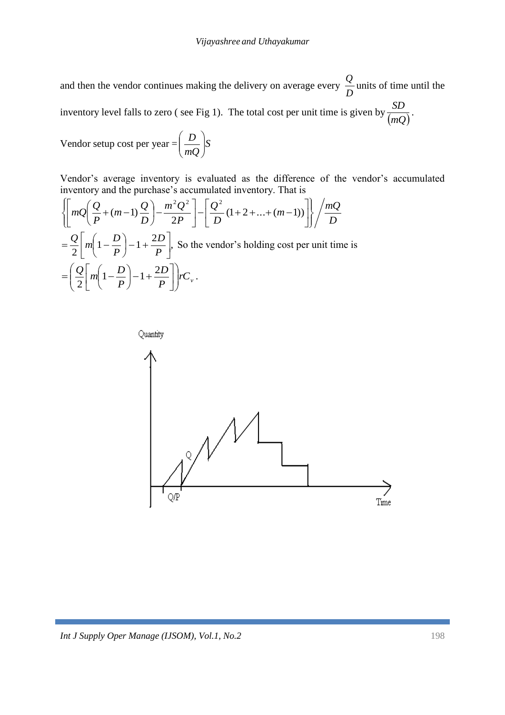and then the vendor continues making the delivery on average every *D*  $\frac{Q}{R}$  units of time until the inventory level falls to zero ( see Fig 1). The total cost per unit time is given by *mQ*  $\frac{SD}{\sqrt{2}}$ .

Vendor setup cost per year = 
$$
\left(\frac{D}{mQ}\right)S
$$

Vendor's average inventory is evaluated as the difference of the vendor's accumulated inventory and the purchase's accumulated inventory. That is

$$
\left\{\left[mQ\left(\frac{Q}{P} + (m-1)\frac{Q}{D}\right) - \frac{m^2Q^2}{2P}\right] - \left[\frac{Q^2}{D}(1+2+\dots+(m-1))\right]\right\} / \frac{mQ}{D}
$$
  
=  $\frac{Q}{2}\left[m\left(1-\frac{D}{P}\right)-1+\frac{2D}{P}\right]$ , So the vendor's holding cost per unit time is  
=  $\left(\frac{Q}{2}\left[m\left(1-\frac{D}{P}\right)-1+\frac{2D}{P}\right]\right)rC_v$ .

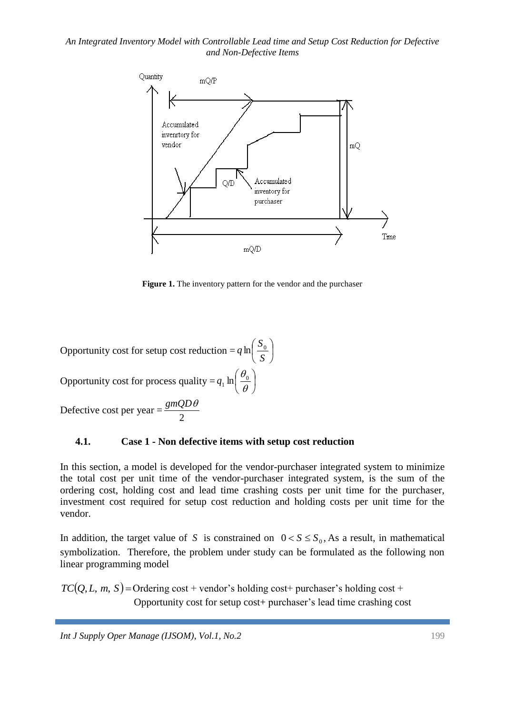

**Figure 1.** The inventory pattern for the vendor and the purchaser

Opportunity cost for setup cost reduction =  $q \ln \left| \frac{s_0}{s_0} \right|$ J  $\left(\frac{S_0}{S_0}\right)$  $\setminus$ ſ *S*  $q \ln \left( \frac{S_0}{S} \right)$ Opportunity cost for process quality =  $q_1$  ln  $\frac{q_0}{q_1}$ J  $\left(\frac{\theta_0}{\theta}\right)$  $\setminus$ ſ  $\theta$  $q_1$  ln $\left(\frac{\theta_0}{\theta}\right)$ Defective cost per year = 2 *gmQD*

#### **4.1. Case 1 - Non defective items with setup cost reduction**

In this section, a model is developed for the vendor-purchaser integrated system to minimize the total cost per unit time of the vendor-purchaser integrated system, is the sum of the ordering cost, holding cost and lead time crashing costs per unit time for the purchaser, investment cost required for setup cost reduction and holding costs per unit time for the vendor.

In addition, the target value of S is constrained on  $0 < S \leq S_0$ , As a result, in mathematical symbolization. Therefore, the problem under study can be formulated as the following non linear programming model

 $TC(Q, L, m, S)$  = Ordering cost + vendor's holding cost+ purchaser's holding cost + Opportunity cost for setup cost+ purchaser's lead time crashing cost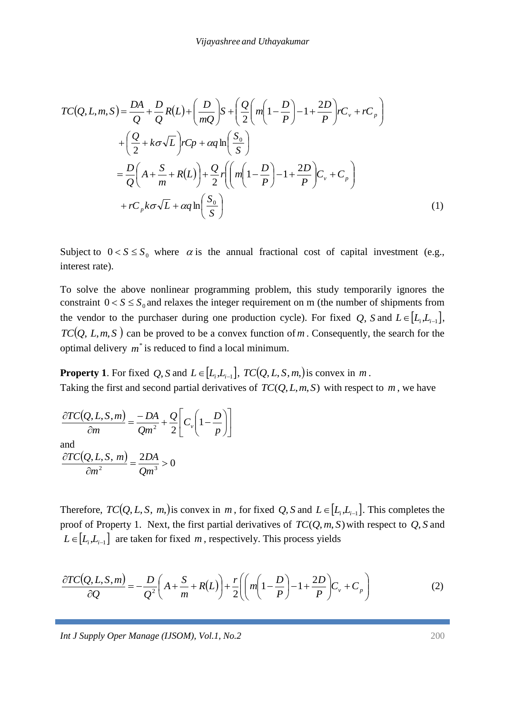$$
TC(Q, L, m, S) = \frac{DA}{Q} + \frac{D}{Q}R(L) + \left(\frac{D}{mQ}\right)S + \left(\frac{Q}{2}\left(m\left(1 - \frac{D}{P}\right) - 1 + \frac{2D}{P}\right)rC_v + rC_p\right)
$$
  
+  $\left(\frac{Q}{2} + k\sigma\sqrt{L}\right)rC_p + \alpha q \ln\left(\frac{S_0}{S}\right)$   
=  $\frac{D}{Q}\left(A + \frac{S}{m} + R(L)\right) + \frac{Q}{2}r\left(\left(m\left(1 - \frac{D}{P}\right) - 1 + \frac{2D}{P}\right)C_v + C_p\right)$   
+  $rC_p k\sigma\sqrt{L} + \alpha q \ln\left(\frac{S_0}{S}\right)$  (1)

Subject to  $0 < S \leq S_0$  where  $\alpha$  is the annual fractional cost of capital investment (e.g., interest rate).

To solve the above nonlinear programming problem, this study temporarily ignores the constraint  $0 < S \leq S_0$  and relaxes the integer requirement on m (the number of shipments from the vendor to the purchaser during one production cycle). For fixed Q, S and  $L \in [L_i, L_{i-1}]$ ,  $TC(Q, L, m, S)$  can be proved to be a convex function of m. Consequently, the search for the optimal delivery  $m^*$  is reduced to find a local minimum.

**Property 1**. For fixed Q, S and  $L \in [L_i, L_{i-1}]$ ,  $TC(Q, L, S, m)$  is convex in m. Taking the first and second partial derivatives of  $TC(Q, L, m, S)$  with respect to  $m$ , we have

$$
\frac{\partial TC(Q, L, S, m)}{\partial m} = \frac{-DA}{Qm^2} + \frac{Q}{2} \left[ C_v \left( 1 - \frac{D}{p} \right) \right]
$$
  
and  

$$
\frac{\partial TC(Q, L, S, m)}{\partial m^2} = \frac{2DA}{Qm^3} > 0
$$

Therefore,  $TC(Q, L, S, m)$  is convex in m, for fixed  $Q$ ,  $S$  and  $L \in [L_i, L_{i-1}]$ . This completes the proof of Property 1. Next, the first partial derivatives of *TC*(*Q*,*m*, *S*) with respect to *Q*, *S* and  $L \in [L_i, L_{i-1}]$  are taken for fixed *m*, respectively. This process yields

$$
\frac{\partial TC(Q, L, S, m)}{\partial Q} = -\frac{D}{Q^2} \left( A + \frac{S}{m} + R(L) \right) + \frac{r}{2} \left( \left( m \left( 1 - \frac{D}{P} \right) - 1 + \frac{2D}{P} \right) C_v + C_p \right) \tag{2}
$$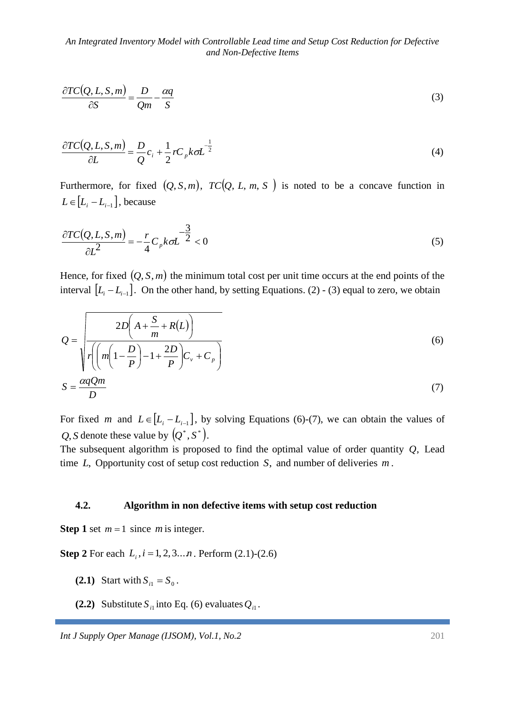$$
\frac{\partial TC(Q, L, S, m)}{\partial S} = \frac{D}{Qm} - \frac{\alpha q}{S}
$$
\n(3)

$$
\frac{\partial TC(Q, L, S, m)}{\partial L} = \frac{D}{Q}c_i + \frac{1}{2}rC_p k \sigma L^{-\frac{1}{2}}
$$
\n(4)

Furthermore, for fixed  $(Q, S, m)$ ,  $TC(Q, L, m, S)$  is noted to be a concave function in  $L \in [L_i - L_{i-1}]$ , because

$$
\frac{\partial TC(Q, L, S, m)}{\partial L^2} = -\frac{r}{4} C_p k \sigma L^{-\frac{3}{2}} < 0
$$
\n<sup>(5)</sup>

Hence, for fixed  $(Q, S, m)$  the minimum total cost per unit time occurs at the end points of the interval  $[L_i - L_{i-1}]$ . On the other hand, by setting Equations. (2) - (3) equal to zero, we obtain

$$
Q = \sqrt{\frac{2D\left(A + \frac{S}{m} + R(L)\right)}{r\left(\left(m\left(1 - \frac{D}{P}\right) - 1 + \frac{2D}{P}\right)C_v + C_p}\right)}}
$$
(6)  

$$
S = \frac{\alpha qQm}{D}
$$
(7)

For fixed *m* and  $L \in [L_i - L_{i-1}]$ , by solving Equations (6)-(7), we can obtain the values of *Q*, *S* denote these value by  $(Q^*, S^*)$ .

The subsequent algorithm is proposed to find the optimal value of order quantity *Q*, Lead time *L*, Opportunity cost of setup cost reduction *S*, and number of deliveries *m* .

#### **4.2. Algorithm in non defective items with setup cost reduction**

**Step 1** set  $m = 1$  since m is integer.

**Step 2** For each  $L_i$ ,  $i = 1, 2, 3...n$ . Perform (2.1)-(2.6)

- **(2.1)** Start with  $S_{i1} = S_0$ .
- **(2.2)** Substitute  $S_{i1}$  into Eq. (6) evaluates  $Q_{i1}$ .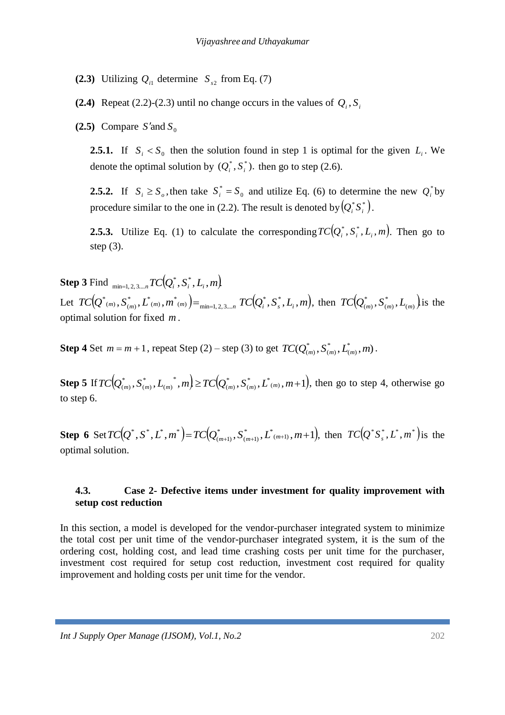- **(2.3)** Utilizing  $Q_{i1}$  determine  $S_{s2}$  from Eq. (7)
- **(2.4)** Repeat (2.2)-(2.3) until no change occurs in the values of  $Q_i$ ,  $S_i$
- (2.5) Compare  $S'$  and  $S_0$

**2.5.1.** If  $S_i < S_0$  then the solution found in step 1 is optimal for the given  $L_i$ . We denote the optimal solution by  $(Q_i^*, S_i^*)$ . then go to step (2.6).

**2.5.2.** If  $S_i \geq S_o$ , then take  $S_i^* = S_o$  $S_i^* = S_0$  and utilize Eq. (6) to determine the new  $Q_i^*$  by procedure similar to the one in (2.2). The result is denoted by  $(Q_i^*S_i^*)$ .

**2.5.3.** Utilize Eq. (1) to calculate the corresponding  $TC(Q_i^*, S_i^*, L_i, m)$ . Then go to step (3).

 $\textbf{Step 3} \: \text{Find} \: \min_{\min=1,2,3,...,n} \mathit{TC}\big(Q_i^*,S_i^*,L_i^*,m\big)$  $\mathcal{L}_{\text{cut}}\left\{TC\big(Q^{*}\left(m\right),S^{*}\right)_{\left(m\right)},L^{*}\left(m\right),m^{*}\left(m\right)\right\} =\min_{\min=1,2,3,...,n}\text{TC}\big(Q^{*}_{i},S^{*}_{s},L_{i},m\big),$  $\left( \begin{smallmatrix} * & * \ m,m \end{smallmatrix} \right)$  ,  $\left. \begin{smallmatrix} 1 \ m \end{smallmatrix} \right|$  ,  $\left. \begin{smallmatrix} m^* \ (m) \end{smallmatrix} \right)$   $\!=$   $_{\text{min}=1,\, 2,\, 3....}$  $\left( \mathcal{L}_{(m)}^*,\mathcal{S}_{(m)}^*,L^*{}_{(m)},m^*{}_{(m)}\right) =_{\text{min}=1,2,3,...,n} T C\big(Q_i^*,S_s^*,L_i,m\big), \text{ then } \ T C\big(Q_{(m)}^*,S_{(m)}^*,L_{(m)}\big),$ \*  $(m)$  $TC(Q_{(m)}^*, S_{(m)}^*, L_{(m)})$  is the optimal solution for fixed *m* .

**Step 4** Set  $m = m + 1$ , repeat Step (2) – step (3) to get  $TC(Q_{(m)}^*, S_{(m)}^*, L_{(m)}^*, m)$  $\zeta$ \*  $(m)$  $TC(Q^{*}_{(m)}, S^{*}_{(m)}, L^{*}_{(m)}, m)$  .

**Step 5** If  $TC(Q_{(m)}^*, S_{(m)}^*, L_{(m)}^*, m) \ge TC(Q_{(m)}^*, S_{(m)}^*, L^*(m), m+1)$  $(m)$ \*  $(m)$ \*  $(m)$ \*  $(m)$  $TC(Q_{(m)}^*, S_{(m)}^*, L_{(m)}^*, m) \ge TC(Q_{(m)}^*, S_{(m)}^*, L^*(m)}$ ,  $m+1)$ , then go to step 4, otherwise go to step 6.

**Step 6** Set  $TC(Q^*, S^*, L^*, m^*) = TC(Q^*_{(m+1)}, S^*_{(m+1)}, L^*_{(m+1)}, m+1),$  $(m+1)$ \*  $(m+1)$  $TC(Q^*, S^*, L^*, m^*) = TC(Q^*_{(m+1)}, S^*_{(m+1)}, L^*(m+1)}, m+1)$ , then  $TC(Q^*S^*_s, L^*, m^*)$  is the optimal solution.

### **4.3. Case 2- Defective items under investment for quality improvement with setup cost reduction**

In this section, a model is developed for the vendor-purchaser integrated system to minimize the total cost per unit time of the vendor-purchaser integrated system, it is the sum of the ordering cost, holding cost, and lead time crashing costs per unit time for the purchaser, investment cost required for setup cost reduction, investment cost required for quality improvement and holding costs per unit time for the vendor.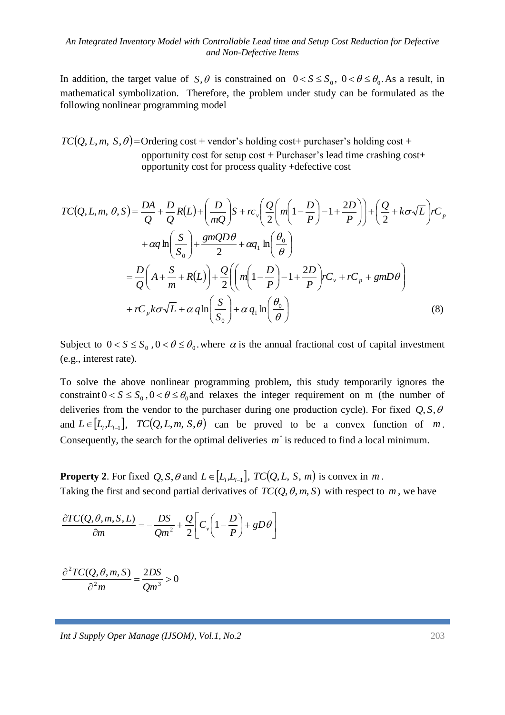In addition, the target value of  $S$ ,  $\theta$  is constrained on  $0 < S \le S_0$ ,  $0 < \theta \le \theta_0$ . As a result, in mathematical symbolization. Therefore, the problem under study can be formulated as the following nonlinear programming model

 $TC(Q, L, m, S, \theta)$ =Ordering cost + vendor's holding cost+ purchaser's holding cost + opportunity cost for setup cost + Purchaser's lead time crashing cost+ opportunity cost for process quality +defective cost

$$
TC(Q, L, m, \theta, S) = \frac{DA}{Q} + \frac{D}{Q}R(L) + \left(\frac{D}{mQ}\right)S + rc_v\left(\frac{Q}{2}\left(m\left(1 - \frac{D}{P}\right) - 1 + \frac{2D}{P}\right)\right) + \left(\frac{Q}{2} + k\sigma\sqrt{L}\right)rc_v
$$
  
+  $\alpha q \ln\left(\frac{S}{S_0}\right) + \frac{gmQD\theta}{2} + \alpha q_1 \ln\left(\frac{\theta_0}{\theta}\right)$   
=  $\frac{D}{Q}\left(A + \frac{S}{m} + R(L)\right) + \frac{Q}{2}\left(\left(m\left(1 - \frac{D}{P}\right) - 1 + \frac{2D}{P}\right)rc_v + rc_p + gmD\theta\right)$   
+  $rC_p k\sigma\sqrt{L} + \alpha q \ln\left(\frac{S}{S_0}\right) + \alpha q_1 \ln\left(\frac{\theta_0}{\theta}\right)$  (8)

Subject to  $0 < S \leq S_0$ ,  $0 < \theta \leq \theta_0$ , where  $\alpha$  is the annual fractional cost of capital investment (e.g., interest rate).

To solve the above nonlinear programming problem, this study temporarily ignores the constraint  $0 < S \le S_0$ ,  $0 < \theta \le \theta_0$  and relaxes the integer requirement on m (the number of deliveries from the vendor to the purchaser during one production cycle). For fixed  $Q, S, \theta$ and  $L \in [L_i, L_{i-1}]$ ,  $TC(Q, L, m, S, \theta)$  can be proved to be a convex function of m. Consequently, the search for the optimal deliveries  $m^*$  is reduced to find a local minimum.

**Property 2**. For fixed  $Q$ ,  $S$ ,  $\theta$  and  $L \in [L_i, L_{i-1}]$ ,  $TC(Q, L, S, m)$  is convex in  $m$ . Taking the first and second partial derivatives of  $TC(Q, \theta, m, S)$  with respect to m, we have

$$
\frac{\partial TC(Q,\theta,m,S,L)}{\partial m} = -\frac{DS}{Qm^2} + \frac{Q}{2} \bigg[ C_v \bigg( 1 - \frac{D}{P} \bigg) + gD\theta \bigg]
$$

$$
\frac{\partial^2 TC(Q,\theta,m,S)}{\partial^2 m} = \frac{2DS}{Qm^3} > 0
$$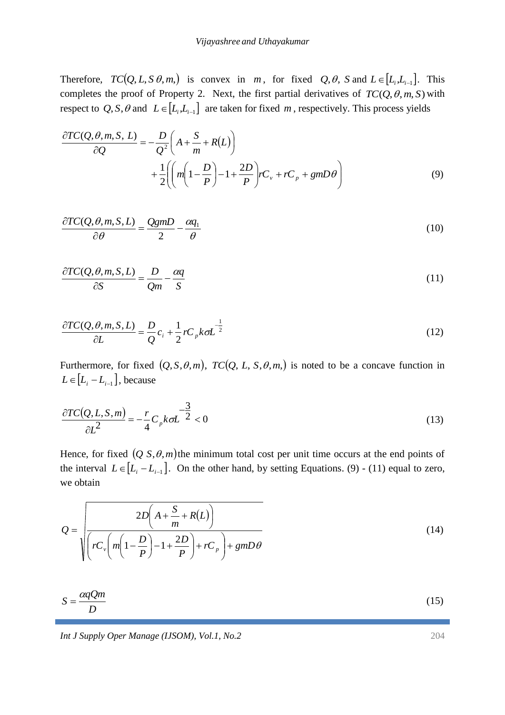Therefore,  $TC(Q, L, S \theta, m)$  is convex in *m*, for fixed  $Q, \theta$ , *S* and  $L \in [L_i, L_{i-1}]$ . This completes the proof of Property 2. Next, the first partial derivatives of  $TC(Q, \theta, m, S)$  with respect to  $Q$ ,  $S$ ,  $\theta$  and  $L \in [L_i, L_{i-1}]$  are taken for fixed m, respectively. This process yields

$$
\frac{\partial TC(Q, \theta, m, S, L)}{\partial Q} = -\frac{D}{Q^2} \left( A + \frac{S}{m} + R(L) \right)
$$

$$
+ \frac{1}{2} \left( \left( m \left( 1 - \frac{D}{P} \right) - 1 + \frac{2D}{P} \right) r C_v + r C_p + g m D \theta \right)
$$
(9)

$$
\frac{\partial TC(Q,\theta,m,S,L)}{\partial \theta} = \frac{QgmD}{2} - \frac{\alpha q_1}{\theta} \tag{10}
$$

$$
\frac{\partial TC(Q,\theta,m,S,L)}{\partial S} = \frac{D}{Qm} - \frac{\alpha q}{S} \tag{11}
$$

$$
\frac{\partial TC(Q,\theta,m,S,L)}{\partial L} = \frac{D}{Q}c_i + \frac{1}{2}rC_p k\sigma L^{-\frac{1}{2}}
$$
\n(12)

Furthermore, for fixed  $(Q, S, \theta, m)$ ,  $TC(Q, L, S, \theta, m)$  is noted to be a concave function in  $L \in [L_i - L_{i-1}]$ , because

$$
\frac{\partial TC(Q, L, S, m)}{\partial L^2} = -\frac{r}{4} C_p k \sigma L^{-\frac{3}{2}} < 0
$$
\n(13)

Hence, for fixed  $(Q \text{ } S, \theta, m)$  the minimum total cost per unit time occurs at the end points of the interval  $L \in [L_i - L_{i-1}]$ . On the other hand, by setting Equations. (9) - (11) equal to zero, we obtain

$$
Q = \sqrt{\frac{2D\left(A + \frac{S}{m} + R(L)\right)}{rC_v\left(m\left(1 - \frac{D}{P}\right) - 1 + \frac{2D}{P}\right) + rC_p + gmD\theta}}
$$
(14)

$$
S = \frac{\alpha q Q m}{D} \tag{15}
$$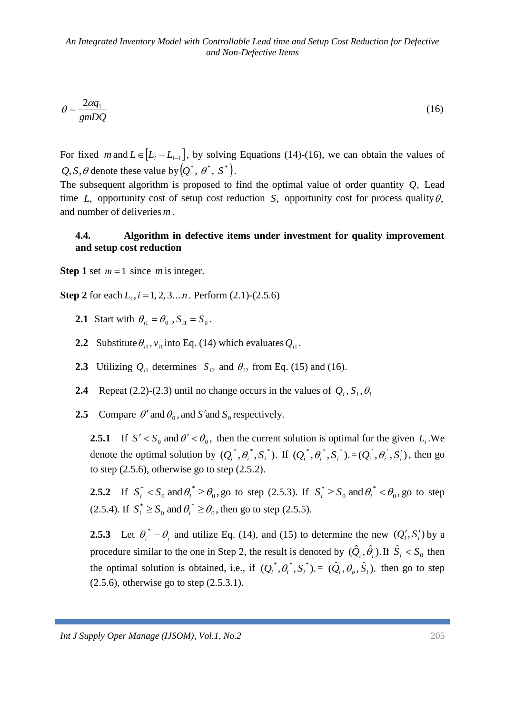$$
\theta = \frac{2\alpha q_1}{gmDQ} \tag{16}
$$

For fixed *m* and  $L \in [L_i - L_{i-1}]$ , by solving Equations (14)-(16), we can obtain the values of  $Q, S, \theta$  denote these value by  $(Q^*, \theta^*, S^*)$ .

The subsequent algorithm is proposed to find the optimal value of order quantity *Q*, Lead time  $L$ , opportunity cost of setup cost reduction  $S$ , opportunity cost for process quality  $\theta$ , and number of deliveries *m* .

#### **4.4. Algorithm in defective items under investment for quality improvement and setup cost reduction**

**Step 1** set  $m = 1$  since m is integer.

**Step 2** for each  $L_i$ ,  $i = 1, 2, 3...n$ . Perform (2.1)-(2.5.6)

- **2.1** Start with  $\theta_{i1} = \theta_0$ ,  $S_{i1} = S_0$ .
- **2.2** Substitute  $\theta_{i1}$ ,  $v_{i1}$  into Eq. (14) which evaluates  $Q_{i1}$ .
- **2.3** Utilizing  $Q_{i1}$  determines  $S_{i2}$  and  $\theta_{i2}$  from Eq. (15) and (16).
- **2.4** Repeat (2.2)-(2.3) until no change occurs in the values of  $Q_i$ ,  $S_i$ ,  $\theta_i$
- **2.5** Compare  $\theta'$  and  $\theta_0$ , and *S'* and *S<sub>0</sub>* respectively.

**2.5.1** If  $S' < S_0$  and  $\theta' < \theta_0$ , then the current solution is optimal for the given  $L_i$ . We denote the optimal solution by  $(Q_i^*, \theta_i^*, S_i^*)$ . If  $(Q_i^*, \theta_i^*, S_i^*)$ .  $=(Q_i^*, \theta_i^*, S_i^*)$ , then go to step  $(2.5.6)$ , otherwise go to step  $(2.5.2)$ .

**2.5.2** If  $S_i^* < S_0$  and  $\theta_i^* \ge \theta_0$ , \*  $\mathbf{0}$  $S_i^* < S_0$  and  $\theta_i^* \ge \theta_0$ , go to step (2.5.3). If  $S_i^* \ge S_0$  and  $\theta_i^* < \theta_0$ , \*  $\mathbf{0}$  $S_i^* \geq S_0$  and  $\theta_i^* < \theta_0$ , go to step (2.5.4). If  $S_i^* \ge S_0$  and  $\theta_i^* \ge \theta_0$ , \*  $\mathbf{0}$  $S_i^* \geq S_0$  and  $\theta_i^* \geq \theta_0$ , then go to step (2.5.5).

**2.5.3** Let  $\theta_i^* = \theta_i$  and utilize Eq. (14), and (15) to determine the new  $(Q_i', S_i')$  by a procedure similar to the one in Step 2, the result is denoted by  $(\hat{Q}_i, \hat{\theta}_i)$ . If  $\hat{S}_i < S_0$  then the optimal solution is obtained, i.e., if  $(Q_i^*, \theta_i^*, S_i^*)$ .  $= (\hat{Q}_i, \theta_o, \hat{S}_i)$ . then go to step (2.5.6), otherwise go to step (2.5.3.1).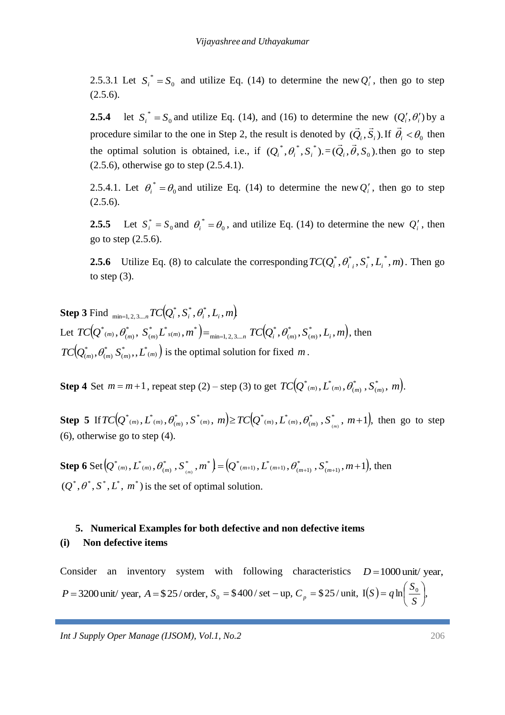2.5.3.1 Let  $S_i^* = S_0$  $S_i^* = S_0$  and utilize Eq. (14) to determine the new  $Q_i'$ , then go to step  $(2.5.6).$ 

**2.5.4** let  $\mathbf{0}$  $S_i^* = S_0$  and utilize Eq. (14), and (16) to determine the new  $(Q_i^{\prime}, \theta_i^{\prime})$  by a procedure similar to the one in Step 2, the result is denoted by  $(\tilde{Q}_i, \tilde{S}_i)$ . .<br>보기 If  $\vec{\theta}_i < \theta_0$ ∠<br>⇒ then the optimal solution is obtained, i.e., if  $(Q_i^*, \theta_i^*, S_i^*) = (\vec{Q}_i, \vec{\theta}, S_0)$ .  $\begin{array}{ccc} - & & \rightarrow & \rightarrow \\ \rightarrow & & \rightarrow & \end{array}$ then go to step (2.5.6), otherwise go to step (2.5.4.1).

2.5.4.1. Let  $\theta_i^* = \theta_0$  $\theta_i^* = \theta_0$  and utilize Eq. (14) to determine the new  $Q_i'$ , then go to step  $(2.5.6).$ 

**2.5.5** Let  $S_i^* = S_0$  $S_i^* = S_0$  and  $\theta_i^* = \theta_0$  $\theta_i^* = \theta_0$ , and utilize Eq. (14) to determine the new  $Q_i^{\prime}$ , then go to step (2.5.6).

**2.5.6** Utilize Eq. (8) to calculate the corresponding  $TC(Q_i^*, \theta_{i,i}^*, S_i^*, L_i^*, m)$ . Then go to step  $(3)$ .

 $\textbf{Step 3} \: \text{Find} \: \:_{\text{min}=1, \, 2, \, 3, ..., \, TC} \big( \mathcal{Q}^*_i, \mathcal{S}^*_i, \mathcal{O}^*_i, \mathcal{L}_i, m \big).$  $\mathcal{L}_{\text{cut}}\left\{ \mathcal{L}(\mathcal{Q}^{*}_{(m)}, \theta^{*}_{(m)}, \ \mathcal{S}^{*}_{(m)} \mathcal{L}^{*}_{(s(m)}, m^{*})\right) = \min_{\min=1,2,3,...,n} \mathcal{TC}(\mathcal{Q}^{*}_{i}, \theta^{*}_{(m)}, \mathcal{S}^{*}_{(m)}, L_{i}, m),$  $(m)$ \*  $(m)$ \*  $min=1, 2, 3...$  $\int_{m}^{\ast}L_{s(m)}^{\ast},m^{\ast}$  $(m)$ \*  $\left( \begin{smallmatrix} * & * & * \ m \end{smallmatrix} \right)$ ,  $\left. S^{*}_{(m)} L^{*}_{(s(m),m)} \right) =_{\min=1,2,3,...n} T C(Q^{*}_{i},\theta^{*}_{(m)},S^{*}_{(m)},L_{i},m),$  then  $\left(Q^*_{(m)},\theta^*_{(m)},S^*_{(m)},L^*_{(m)}\right)$  $(m)$ \*  $(m)$  $TC[Q_{(m)}^*, \theta_{(m)}^*, \boldsymbol{S}_{(m)}^*, \boldsymbol{L}_{(m)}^*]$  is the optimal solution for fixed  $m$  .

**Step 4** Set  $m = m + 1$ , repeat step (2) – step (3) to get  $TC(Q^*_{(m)}, L^*_{(m)}, \theta^*_{(m)}, S^*_{(m)}, m)$ .  $(m)$ \*  $\mathcal{L}_{(m)}^{\ast}, \mathcal{L}_{(m)}^{\ast}, \theta_{(m)}^{\ast}, \mathcal{S}_{(m)}^{\ast}, \, m \big).$ 

**Step 5** If  $TC(Q^*_{(m)}, L^*_{(m)}, \theta^*_{(m)}, S^*_{(m)}, m) \geq TC(Q^*_{(m)}, L^*_{(m)}, \theta^*_{(m)}, S^*_{(m)}, m+1),$  $\left( \begin{smallmatrix} * & * \ m) \end{smallmatrix} \right.,S_{-(m)}^*,m) \!\geq \! T C\big\!\!\left( \! \mathcal{Q}_{-(m)}^*, L_{-(m)}^*, \theta_{(m)}^* \! \right)$  $^{\ast}$  (m)  $,$   $L^{\ast}$  (m)  $,$   $\theta^{\ast}_{(m)}$  $TC(Q^*(m), L^*(m), \theta^*_{(m)}, S^*(m), m) \geq TC(Q^*(m), L^*(m), \theta^*_{(m)}, S^*_ {(m)}, m+1),$  then go to step (6), otherwise go to step (4).

**Step 6** Set  $[Q^*_{(m)}, L^*_{(m)}, \theta^*_{(m)}, S^*_{(m)}, m^*] = [Q^*_{(m+1)}, L^*_{(m+1)}, \theta^*_{(m+1)}, S^*_{(m+1)}, m+1],$  $(m+1)$ \*  $\left( \begin{smallmatrix} * & * \ m \end{smallmatrix} \right),\left. S\right\rangle_{(m)}^{*},m^{*} \left. \right) \!=\! \left( \! \mathcal{Q}^{*}_{-(m+1)},L^{*}_{-(m+1)},\theta^{*}_{(m+1)} \right)$  $^{\ast}$  (m)  $\overline{L}^{\ast}$  (m)  $\overline{\theta}^{\ast}_{(m)}$  $(Q^*(m), L^*(m), \theta^*_{(m)}, S^*_m, m^*) = (Q^*(m+1), L^*(m+1), \theta^*_{(m+1)}, S^*_m, m+1)$ , then  $(Q^*, \theta^*, S^*, L^*, m^*)$  is the set of optimal solution.

# **5. Numerical Examples for both defective and non defective items (i) Non defective items**

Consider an inventory system with following characteristics  $D = 1000$  unit/year, *P* = 3200 unit/ year, *A* = \$25/ order,  $S_0 = $400$ / set - up,  $C_p = $25$ / unit,  $I(S) = q \ln \left| \frac{S_0}{S} \right|$ ,  $\bigg)$  $\left(\frac{S_0}{S_0}\right)$  $\setminus$  $= q \ln \left( \frac{1}{2} \right)$ *S*  $S$ ) =  $q \ln \left( \frac{S}{S} \right)$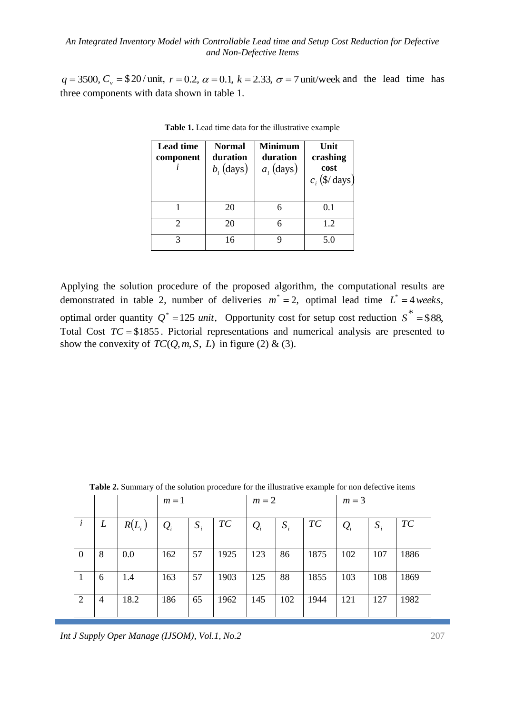$q = 3500, C_v = $20 / \text{unit}, r = 0.2, \alpha = 0.1, k = 2.33, \sigma = 7 \text{unit/week}$  and the lead time has three components with data shown in table 1.

| <b>Lead time</b><br>component | <b>Normal</b><br>duration<br>$b_i$ (days) | <b>Minimum</b><br>duration<br>$a_i$ (days) | Unit<br>crashing<br>cost<br>$c_i$ (\$/ days) |
|-------------------------------|-------------------------------------------|--------------------------------------------|----------------------------------------------|
|                               | 20                                        |                                            | 0.1                                          |
| $\mathcal{D}_{\mathcal{A}}$   | 20                                        |                                            | 1.2                                          |
| 3                             | 16                                        |                                            | 5.0                                          |

**Table 1.** Lead time data for the illustrative example

Applying the solution procedure of the proposed algorithm, the computational results are demonstrated in table 2, number of deliveries  $m^* = 2$ , optimal lead time  $L^* = 4 \text{ weeks}$ , optimal order quantity  $Q^* = 125$  *unit*, Opportunity cost for setup cost reduction  $S^* = $88$ , Total Cost  $TC = $1855$ . Pictorial representations and numerical analysis are presented to show the convexity of  $TC(Q, m, S, L)$  in figure (2) & (3).

|                | <b>Table 2.</b> Summary of the solution procedure for the mustiative example for non-defective fields |          |                                      |       |                |                 |       |      |                 |       |                |  |
|----------------|-------------------------------------------------------------------------------------------------------|----------|--------------------------------------|-------|----------------|-----------------|-------|------|-----------------|-------|----------------|--|
|                |                                                                                                       |          | $m=1$                                |       |                | $m=2$           |       |      | $m=3$           |       |                |  |
|                | L                                                                                                     | $R(L_i)$ | $\mathcal{Q}_{\scriptscriptstyle i}$ | $S_i$ | T <sub>C</sub> | $\mathcal{Q}_i$ | $S_i$ | TC   | $\mathcal{Q}_i$ | $S_i$ | T <sub>C</sub> |  |
| $\Omega$       | 8                                                                                                     | 0.0      | 162                                  | 57    | 1925           | 123             | 86    | 1875 | 102             | 107   | 1886           |  |
| $\mathbf{I}$   | 6                                                                                                     | 1.4      | 163                                  | 57    | 1903           | 125             | 88    | 1855 | 103             | 108   | 1869           |  |
| $\overline{2}$ | 4                                                                                                     | 18.2     | 186                                  | 65    | 1962           | 145             | 102   | 1944 | 121             | 127   | 1982           |  |

**Table 2.** Summary of the solution procedure for the illustrative example for non defective items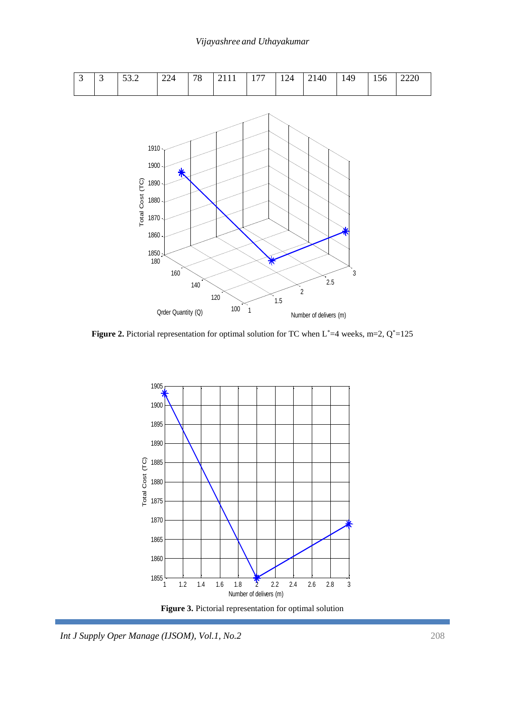#### *Vijayashree and Uthayakumar*



**Figure 2.** Pictorial representation for optimal solution for TC when  $L^* = 4$  weeks, m=2,  $Q^* = 125$ 



**Figure 3.** Pictorial representation for optimal solution

*Int J Supply Oper Manage (IJSOM), Vol.1, No.2* 208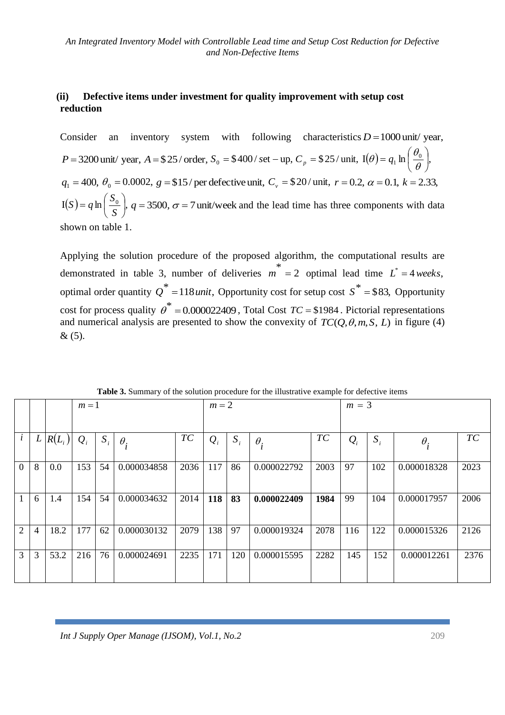### **(ii) Defective items under investment for quality improvement with setup cost reduction**

Consider an inventory system with following characteristics  $D = 1000$  unit/year, *P* = 3200 unit/ year, *A* = \$25/ order,  $S_0 = $400$ / set - up,  $C_p = $25$ / unit,  $I(\theta) = q_1 \ln \left| \frac{S_0}{Q} \right|$ , J  $\left(\frac{\theta_0}{\theta_0}\right)$  $\setminus$  $=q_1 \ln \left(\frac{\theta_0}{\theta}\right)$  $q(\theta) = q_1 \ln \left( \frac{\theta_0}{\theta_0} \right)$  $q_1 = 400, \ \theta_0 = 0.0002, \ g = \$15/$  per defective unit,  $C_v = \$20/$  unit,  $r = 0.2, \ \alpha = 0.1, \ k = 2.33,$  $I(S) = q \ln \left| \frac{S_0}{S} \right|,$ J  $\left(\frac{S_0}{\sigma}\right)$ J  $= q \ln \left( \frac{1}{2} \right)$ *S*  $(S) = q \ln \left( \frac{S_0}{S_0} \right)$ ,  $q = 3500$ ,  $\sigma = 7$  unit/week and the lead time has three components with data shown on table 1.

Applying the solution procedure of the proposed algorithm, the computational results are demonstrated in table 3, number of deliveries  $m^* = 2$  optimal lead time  $L^* = 4$  weeks, optimal order quantity  $Q^* = 118 \text{ unit}$ , Opportunity cost for setup cost  $S^* = $83$ , Opportunity cost for process quality  $\theta^* = 0.000022409$ , Total Cost *TC* = \$1984. Pictorial representations and numerical analysis are presented to show the convexity of  $TC(Q, \theta, m, S, L)$  in figure (4)  $& (5)$ .

|                |                |          | $m=1$ |       |             | $m=2$ |       |       |             | $m = 3$ |       |       |             |      |
|----------------|----------------|----------|-------|-------|-------------|-------|-------|-------|-------------|---------|-------|-------|-------------|------|
|                |                |          |       |       |             |       |       |       |             |         |       |       |             |      |
|                | $\overline{L}$ | $R(L_i)$ | $Q_i$ | $S_i$ | $\theta_i$  | TC    | $Q_i$ | $S_i$ | $\theta_i$  | TC      | $Q_i$ | $S_i$ | $\theta_i$  | TC   |
| $\overline{0}$ | 8              | 0.0      | 153   | 54    | 0.000034858 | 2036  | 117   | 86    | 0.000022792 | 2003    | 97    | 102   | 0.000018328 | 2023 |
|                | 6              | 1.4      | 154   | 54    | 0.000034632 | 2014  | 118   | 83    | 0.000022409 | 1984    | 99    | 104   | 0.000017957 | 2006 |
| 2              | $\overline{4}$ | 18.2     | 177   | 62    | 0.000030132 | 2079  | 138   | 97    | 0.000019324 | 2078    | 116   | 122   | 0.000015326 | 2126 |
| 3              | 3              | 53.2     | 216   | 76    | 0.000024691 | 2235  | 171   | 120   | 0.000015595 | 2282    | 145   | 152   | 0.000012261 | 2376 |

**Table 3.** Summary of the solution procedure for the illustrative example for defective items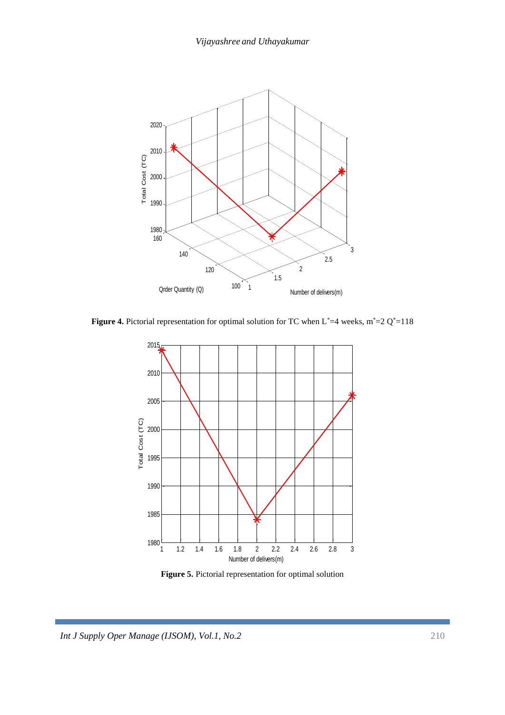

**Figure 4.** Pictorial representation for optimal solution for TC when  $L^*=4$  weeks,  $m^*=2 Q^*=118$ 



**Figure 5.** Pictorial representation for optimal solution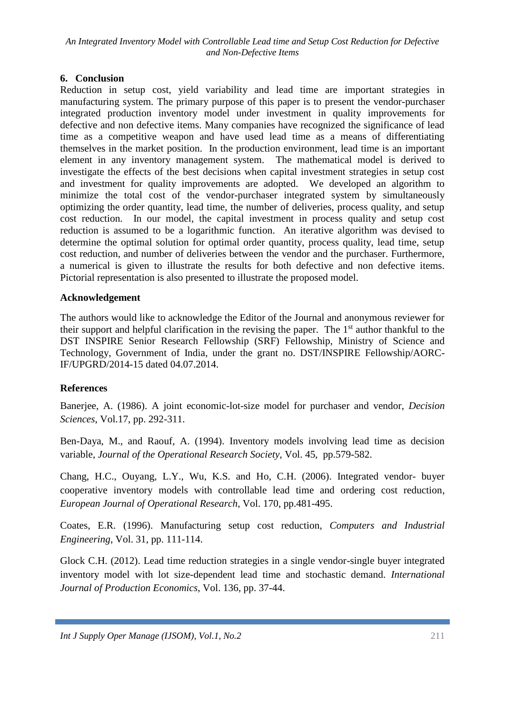### **6. Conclusion**

Reduction in setup cost, yield variability and lead time are important strategies in manufacturing system. The primary purpose of this paper is to present the vendor-purchaser integrated production inventory model under investment in quality improvements for defective and non defective items. Many companies have recognized the significance of lead time as a competitive weapon and have used lead time as a means of differentiating themselves in the market position. In the production environment, lead time is an important element in any inventory management system. The mathematical model is derived to investigate the effects of the best decisions when capital investment strategies in setup cost and investment for quality improvements are adopted. We developed an algorithm to minimize the total cost of the vendor-purchaser integrated system by simultaneously optimizing the order quantity, lead time, the number of deliveries, process quality, and setup cost reduction. In our model, the capital investment in process quality and setup cost reduction is assumed to be a logarithmic function. An iterative algorithm was devised to determine the optimal solution for optimal order quantity, process quality, lead time, setup cost reduction, and number of deliveries between the vendor and the purchaser. Furthermore, a numerical is given to illustrate the results for both defective and non defective items. Pictorial representation is also presented to illustrate the proposed model.

### **Acknowledgement**

The authors would like to acknowledge the Editor of the Journal and anonymous reviewer for their support and helpful clarification in the revising the paper. The  $1<sup>st</sup>$  author thankful to the DST INSPIRE Senior Research Fellowship (SRF) Fellowship, Ministry of Science and Technology, Government of India, under the grant no. DST/INSPIRE Fellowship/AORC-IF/UPGRD/2014-15 dated 04.07.2014.

### **References**

Banerjee, A. (1986). A joint economic-lot-size model for purchaser and vendor, *Decision Sciences*, Vol.17, pp. 292-311.

Ben-Daya, M., and Raouf, A. (1994). Inventory models involving lead time as decision variable, *Journal of the Operational Research Society*, Vol. 45, pp.579-582.

Chang, H.C., Ouyang, L.Y., Wu, K.S. and Ho, C.H. (2006). Integrated vendor- buyer cooperative inventory models with controllable lead time and ordering cost reduction, *European Journal of Operational Research*, Vol. 170, pp.481-495.

Coates, E.R. (1996). Manufacturing setup cost reduction, *Computers and Industrial Engineering*, Vol. 31, pp. 111-114.

Glock C.H. (2012). Lead time reduction strategies in a single vendor-single buyer integrated inventory model with lot size-dependent lead time and stochastic demand. *International Journal of Production Economics*, Vol. 136, pp. 37-44.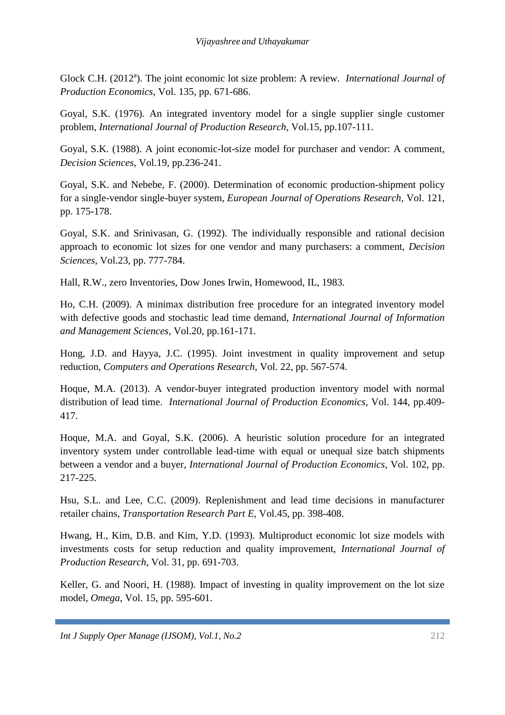Glock C.H. (2012<sup>a</sup>). The joint economic lot size problem: A review. *International Journal of Production Economics*, Vol. 135, pp. 671-686.

Goyal, S.K. (1976). An integrated inventory model for a single supplier single customer problem, *International Journal of Production Research*, Vol.15, pp.107-111.

Goyal, S.K. (1988). A joint economic-lot-size model for purchaser and vendor: A comment, *Decision Sciences*, Vol.19, pp.236-241.

Goyal, S.K. and Nebebe, F. (2000). Determination of economic production-shipment policy for a single-vendor single-buyer system, *European Journal of Operations Research*, Vol. 121, pp. 175-178.

Goyal, S.K. and Srinivasan, G. (1992). The individually responsible and rational decision approach to economic lot sizes for one vendor and many purchasers: a comment, *Decision Sciences*, Vol.23, pp. 777-784.

Hall, R.W., zero Inventories, Dow Jones Irwin, Homewood, IL, 1983.

Ho, C.H. (2009). A minimax distribution free procedure for an integrated inventory model with defective goods and stochastic lead time demand, *International Journal of Information and Management Sciences*, Vol.20, pp.161-171.

Hong, J.D. and Hayya, J.C. (1995). Joint investment in quality improvement and setup reduction, *Computers and Operations Research*, Vol. 22, pp. 567-574.

Hoque, M.A. (2013). A vendor-buyer integrated production inventory model with normal distribution of lead time. *International Journal of Production Economics*, Vol. 144, pp.409- 417.

Hoque, M.A. and Goyal, S.K. (2006). A heuristic solution procedure for an integrated inventory system under controllable lead-time with equal or unequal size batch shipments between a vendor and a buyer, *International Journal of Production Economics*, Vol. 102, pp. 217-225.

Hsu, S.L. and Lee, C.C. (2009). Replenishment and lead time decisions in manufacturer retailer chains, *Transportation Research Part E*, Vol.45, pp. 398-408.

Hwang, H., Kim, D.B. and Kim, Y.D. (1993). Multiproduct economic lot size models with investments costs for setup reduction and quality improvement, *International Journal of Production Research*, Vol. 31, pp. 691-703.

Keller, G. and Noori, H. (1988). Impact of investing in quality improvement on the lot size model, *Omega*, Vol. 15, pp. 595-601.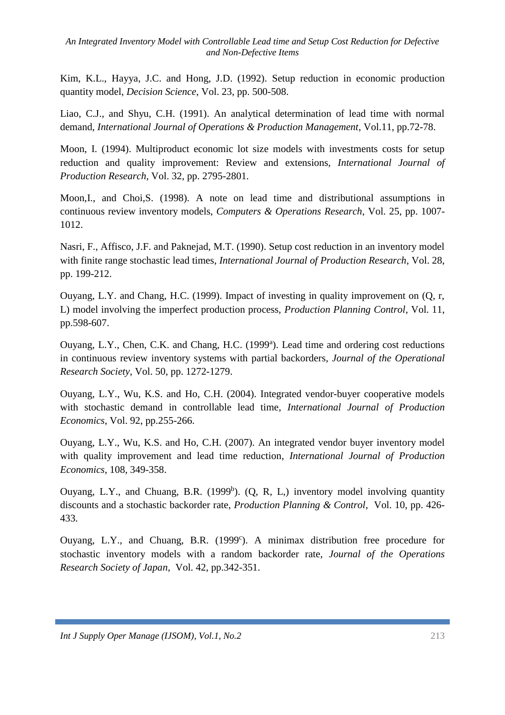Kim, K.L., Hayya, J.C. and Hong, J.D. (1992). Setup reduction in economic production quantity model, *Decision Science*, Vol. 23, pp. 500-508.

Liao, C.J., and Shyu, C.H. (1991). An analytical determination of lead time with normal demand, *International Journal of Operations & Production Management*, Vol.11, pp.72-78.

Moon, I. (1994). Multiproduct economic lot size models with investments costs for setup reduction and quality improvement: Review and extensions, *International Journal of Production Research*, Vol. 32, pp. 2795-2801.

Moon,I., and Choi,S. (1998). A note on lead time and distributional assumptions in continuous review inventory models, *Computers & Operations Research*, Vol. 25, pp. 1007- 1012.

Nasri, F., Affisco, J.F. and Paknejad, M.T. (1990). Setup cost reduction in an inventory model with finite range stochastic lead times, *International Journal of Production Research*, Vol. 28, pp. 199-212.

Ouyang, L.Y. and Chang, H.C. (1999). Impact of investing in quality improvement on (Q, r, L) model involving the imperfect production process, *Production Planning Control*, Vol. 11, pp.598-607.

Ouyang, L.Y., Chen, C.K. and Chang, H.C. (1999<sup>a</sup>). Lead time and ordering cost reductions in continuous review inventory systems with partial backorders, *Journal of the Operational Research Society*, Vol. 50, pp. 1272-1279.

Ouyang, L.Y., Wu, K.S. and Ho, C.H. (2004). Integrated vendor-buyer cooperative models with stochastic demand in controllable lead time, *International Journal of Production Economics*, Vol. 92, pp.255-266.

Ouyang, L.Y., Wu, K.S. and Ho, C.H. (2007). An integrated vendor buyer inventory model with quality improvement and lead time reduction, *International Journal of Production Economics*, 108, 349-358.

Ouyang, L.Y., and Chuang, B.R.  $(1999<sup>b</sup>)$ .  $(Q, R, L)$  inventory model involving quantity discounts and a stochastic backorder rate, *Production Planning & Control*, Vol. 10, pp. 426- 433.

Ouyang, L.Y., and Chuang, B.R. (1999<sup>c</sup>). A minimax distribution free procedure for stochastic inventory models with a random backorder rate, *Journal of the Operations Research Society of Japan*, Vol. 42, pp.342-351.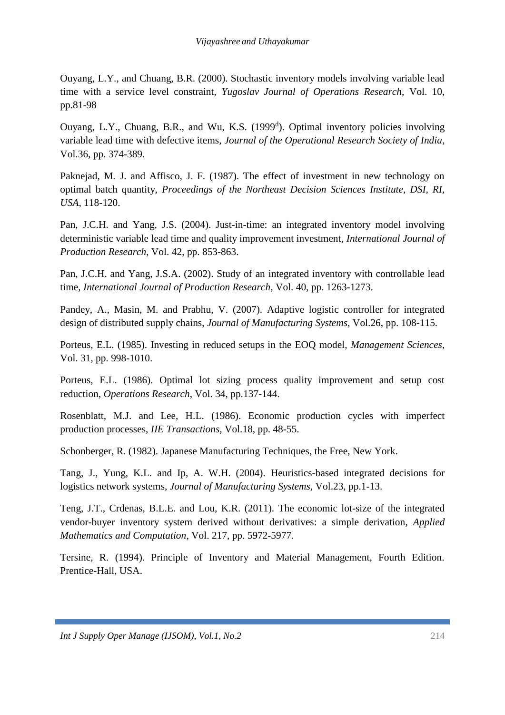Ouyang, L.Y., and Chuang, B.R. (2000). Stochastic inventory models involving variable lead time with a service level constraint, *Yugoslav Journal of Operations Research*, Vol. 10, pp.81-98

Ouyang, L.Y., Chuang, B.R., and Wu, K.S. (1999<sup>d</sup>). Optimal inventory policies involving variable lead time with defective items, *Journal of the Operational Research Society of India*, Vol.36, pp. 374-389.

Paknejad, M. J. and Affisco, J. F. (1987). The effect of investment in new technology on optimal batch quantity, *Proceedings of the Northeast Decision Sciences Institute, DSI, RI, USA*, 118-120.

Pan, J.C.H. and Yang, J.S. (2004). Just-in-time: an integrated inventory model involving deterministic variable lead time and quality improvement investment, *International Journal of Production Research*, Vol. 42, pp. 853-863.

Pan, J.C.H. and Yang, J.S.A. (2002). Study of an integrated inventory with controllable lead time, *International Journal of Production Research*, Vol. 40, pp. 1263-1273.

Pandey, A., Masin, M. and Prabhu, V. (2007). Adaptive logistic controller for integrated design of distributed supply chains, *Journal of Manufacturing Systems*, Vol.26, pp. 108-115.

Porteus, E.L. (1985). Investing in reduced setups in the EOQ model, *Management Sciences*, Vol. 31, pp. 998-1010.

Porteus, E.L. (1986). Optimal lot sizing process quality improvement and setup cost reduction, *Operations Research*, Vol. 34, pp.137-144.

Rosenblatt, M.J. and Lee, H.L. (1986). Economic production cycles with imperfect production processes, *IIE Transactions*, Vol.18, pp. 48-55.

Schonberger, R. (1982). Japanese Manufacturing Techniques, the Free, New York.

Tang, J., Yung, K.L. and Ip, A. W.H. (2004). Heuristics-based integrated decisions for logistics network systems, *Journal of Manufacturing Systems*, Vol.23, pp.1-13.

Teng, J.T., Crdenas, B.L.E. and Lou, K.R. (2011). The economic lot-size of the integrated vendor-buyer inventory system derived without derivatives: a simple derivation, *Applied Mathematics and Computation*, Vol. 217, pp. 5972-5977.

Tersine, R. (1994). Principle of Inventory and Material Management, Fourth Edition. Prentice-Hall, USA.